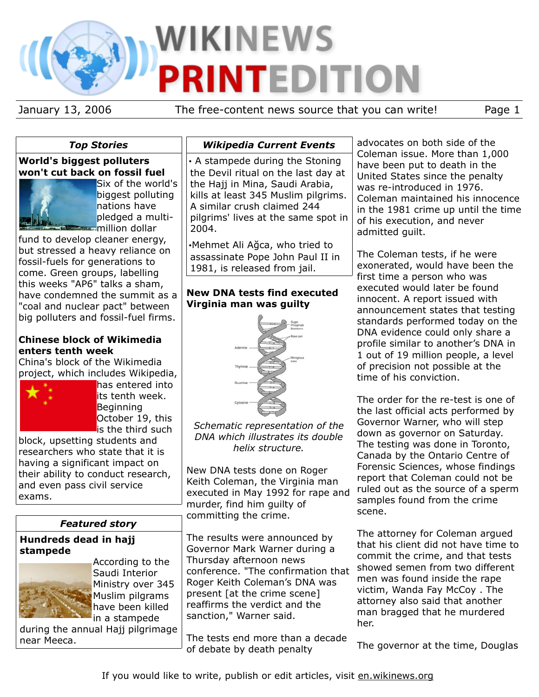# WIKINEWS **PRINTEDITION**

January 13, 2006 The free-content news source that you can write! Page 1

## *Top Stories*

## **World's biggest polluters won't cut back on fossil fuel**



Six of the world's biggest polluting nations have pledged a multimillion dollar

fund to develop cleaner energy, but stressed a heavy reliance on fossil-fuels for generations to come. Green groups, labelling this weeks "AP6" talks a sham, have condemned the summit as a "coal and nuclear pact" between big polluters and fossil-fuel firms.

## **Chinese block of Wikimedia enters tenth week**

China's block of the Wikimedia project, which includes Wikipedia,



has entered into its tenth week. Beginning October 19, this is the third such

block, upsetting students and researchers who state that it is having a significant impact on their ability to conduct research, and even pass civil service exams.

# *Featured story*

#### **Hundreds dead in hajj stampede**



According to the Saudi Interior Ministry over 345 Muslim pilgrams have been killed in a stampede

during the annual Hajj pilgrimage near Meeca.

## *Wikipedia Current Events*

• A stampede during the Stoning the Devil ritual on the last day at the Hajj in Mina, Saudi Arabia, kills at least 345 Muslim pilgrims. A similar crush claimed 244 pilgrims' lives at the same spot in 2004.

•Mehmet Ali Ağca, who tried to assassinate Pope John Paul II in 1981, is released from jail.

## **New DNA tests find executed Virginia man was guilty**



*Schematic representation of the DNA which illustrates its double helix structure.*

New DNA tests done on Roger Keith Coleman, the Virginia man executed in May 1992 for rape and murder, find him guilty of committing the crime.

The results were announced by Governor Mark Warner during a Thursday afternoon news conference. "The confirmation that Roger Keith Coleman's DNA was present [at the crime scene] reaffirms the verdict and the sanction," Warner said.

The tests end more than a decade of debate by death penalty

advocates on both side of the Coleman issue. More than 1,000 have been put to death in the United States since the penalty was re-introduced in 1976. Coleman maintained his innocence in the 1981 crime up until the time of his execution, and never admitted guilt.

The Coleman tests, if he were exonerated, would have been the first time a person who was executed would later be found innocent. A report issued with announcement states that testing standards performed today on the DNA evidence could only share a profile similar to another's DNA in 1 out of 19 million people, a level of precision not possible at the time of his conviction.

The order for the re-test is one of the last official acts performed by Governor Warner, who will step down as governor on Saturday. The testing was done in Toronto, Canada by the Ontario Centre of Forensic Sciences, whose findings report that Coleman could not be ruled out as the source of a sperm samples found from the crime scene.

The attorney for Coleman argued that his client did not have time to commit the crime, and that tests showed semen from two different men was found inside the rape victim, Wanda Fay McCoy . The attorney also said that another man bragged that he murdered her.

The governor at the time, Douglas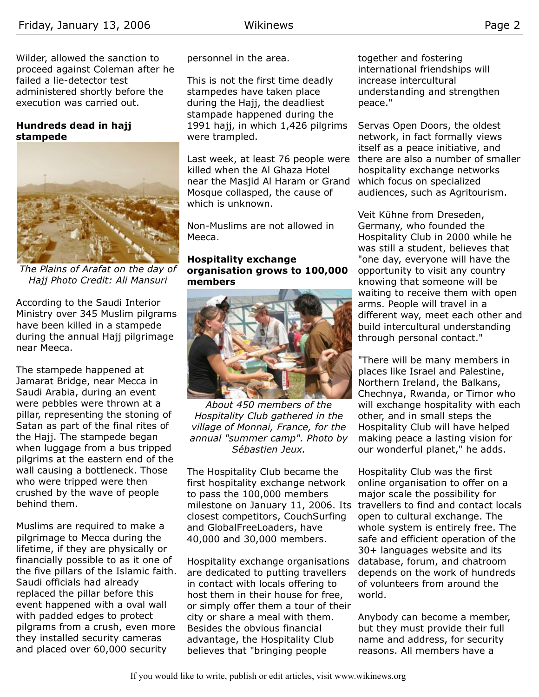## Friday, January 13, 2006 Wikinews Page 2

Wilder, allowed the sanction to proceed against Coleman after he failed a lie-detector test administered shortly before the execution was carried out.

#### **Hundreds dead in hajj stampede**



*The Plains of Arafat on the day of Hajj Photo Credit: Ali Mansuri*

According to the Saudi Interior Ministry over 345 Muslim pilgrams have been killed in a stampede during the annual Hajj pilgrimage near Meeca.

The stampede happened at Jamarat Bridge, near Mecca in Saudi Arabia, during an event were pebbles were thrown at a pillar, representing the stoning of Satan as part of the final rites of the Hajj. The stampede began when luggage from a bus tripped pilgrims at the eastern end of the wall causing a bottleneck. Those who were tripped were then crushed by the wave of people behind them.

Muslims are required to make a pilgrimage to Mecca during the lifetime, if they are physically or financially possible to as it one of the five pillars of the Islamic faith. Saudi officials had already replaced the pillar before this event happened with a oval wall with padded edges to protect pilgrams from a crush, even more they installed security cameras and placed over 60,000 security

personnel in the area.

This is not the first time deadly stampedes have taken place during the Hajj, the deadliest stampade happened during the 1991 hajj, in which 1,426 pilgrims were trampled.

Last week, at least 76 people were killed when the Al Ghaza Hotel near the Masjid Al Haram or Grand Mosque collasped, the cause of which is unknown.

Non-Muslims are not allowed in Meeca.

#### **Hospitality exchange organisation grows to 100,000 members**



*About 450 members of the Hospitality Club gathered in the village of Monnai, France, for the annual "summer camp". Photo by Sébastien Jeux.*

The Hospitality Club became the first hospitality exchange network to pass the 100,000 members closest competitors, CouchSurfing and GlobalFreeLoaders, have 40,000 and 30,000 members.

Hospitality exchange organisations are dedicated to putting travellers in contact with locals offering to host them in their house for free, or simply offer them a tour of their city or share a meal with them. Besides the obvious financial advantage, the Hospitality Club believes that "bringing people

together and fostering international friendships will increase intercultural understanding and strengthen peace."

Servas Open Doors, the oldest network, in fact formally views itself as a peace initiative, and there are also a number of smaller hospitality exchange networks which focus on specialized audiences, such as Agritourism.

Veit Kühne from Dreseden, Germany, who founded the Hospitality Club in 2000 while he was still a student, believes that "one day, everyone will have the opportunity to visit any country knowing that someone will be waiting to receive them with open arms. People will travel in a different way, meet each other and build intercultural understanding through personal contact."

"There will be many members in places like Israel and Palestine, Northern Ireland, the Balkans, Chechnya, Rwanda, or Timor who will exchange hospitality with each other, and in small steps the Hospitality Club will have helped making peace a lasting vision for our wonderful planet," he adds.

milestone on January 11, 2006. Its travellers to find and contact locals Hospitality Club was the first online organisation to offer on a major scale the possibility for open to cultural exchange. The whole system is entirely free. The safe and efficient operation of the 30+ languages website and its database, forum, and chatroom depends on the work of hundreds of volunteers from around the world.

> Anybody can become a member, but they must provide their full name and address, for security reasons. All members have a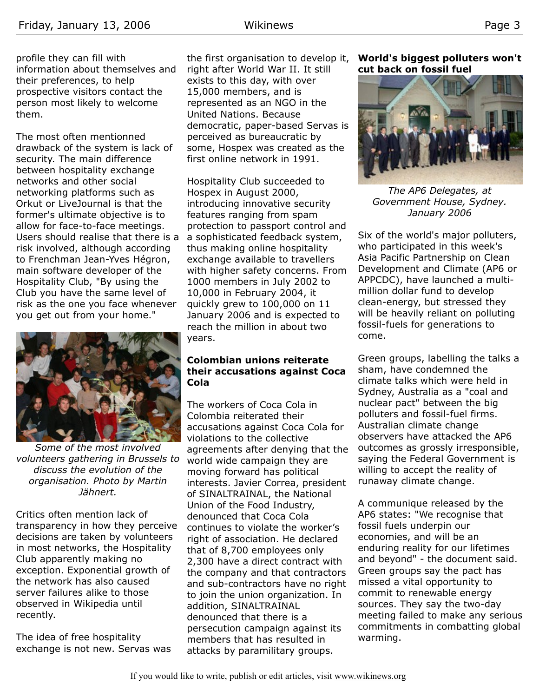profile they can fill with information about themselves and their preferences, to help prospective visitors contact the person most likely to welcome them.

The most often mentionned drawback of the system is lack of security. The main difference between hospitality exchange networks and other social networking platforms such as Orkut or LiveJournal is that the former's ultimate objective is to allow for face-to-face meetings. Users should realise that there is a risk involved, although according to Frenchman Jean-Yves Hégron, main software developer of the Hospitality Club, "By using the Club you have the same level of risk as the one you face whenever you get out from your home."



*Some of the most involved volunteers gathering in Brussels to discuss the evolution of the organisation. Photo by Martin Jähnert.*

Critics often mention lack of transparency in how they perceive decisions are taken by volunteers in most networks, the Hospitality Club apparently making no exception. Exponential growth of the network has also caused server failures alike to those observed in Wikipedia until recently.

The idea of free hospitality exchange is not new. Servas was

the first organisation to develop it, right after World War II. It still exists to this day, with over 15,000 members, and is represented as an NGO in the United Nations. Because democratic, paper-based Servas is perceived as bureaucratic by some, Hospex was created as the first online network in 1991.

Hospitality Club succeeded to Hospex in August 2000, introducing innovative security features ranging from spam protection to passport control and a sophisticated feedback system, thus making online hospitality exchange available to travellers with higher safety concerns. From 1000 members in July 2002 to 10,000 in February 2004, it quickly grew to 100,000 on 11 January 2006 and is expected to reach the million in about two years.

#### **Colombian unions reiterate their accusations against Coca Cola**

The workers of Coca Cola in Colombia reiterated their accusations against Coca Cola for violations to the collective agreements after denying that the world wide campaign they are moving forward has political interests. Javier Correa, president of SINALTRAINAL, the National Union of the Food Industry, denounced that Coca Cola continues to violate the worker's right of association. He declared that of 8,700 employees only 2,300 have a direct contract with the company and that contractors and sub-contractors have no right to join the union organization. In addition, SINALTRAINAL denounced that there is a persecution campaign against its members that has resulted in attacks by paramilitary groups.

**World's biggest polluters won't cut back on fossil fuel**



*The AP6 Delegates, at Government House, Sydney. January 2006*

Six of the world's major polluters, who participated in this week's Asia Pacific Partnership on Clean Development and Climate (AP6 or APPCDC), have launched a multimillion dollar fund to develop clean-energy, but stressed they will be heavily reliant on polluting fossil-fuels for generations to come.

Green groups, labelling the talks a sham, have condemned the climate talks which were held in Sydney, Australia as a "coal and nuclear pact" between the big polluters and fossil-fuel firms. Australian climate change observers have attacked the AP6 outcomes as grossly irresponsible, saying the Federal Government is willing to accept the reality of runaway climate change.

A communique released by the AP6 states: "We recognise that fossil fuels underpin our economies, and will be an enduring reality for our lifetimes and beyond" - the document said. Green groups say the pact has missed a vital opportunity to commit to renewable energy sources. They say the two-day meeting failed to make any serious commitments in combatting global warming.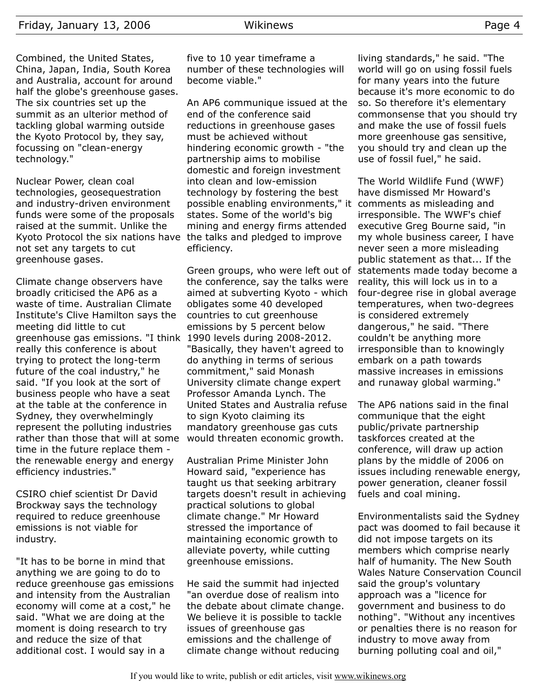Combined, the United States, China, Japan, India, South Korea and Australia, account for around half the globe's greenhouse gases. The six countries set up the summit as an ulterior method of tackling global warming outside the Kyoto Protocol by, they say, focussing on "clean-energy technology."

Nuclear Power, clean coal technologies, geosequestration and industry-driven environment funds were some of the proposals raised at the summit. Unlike the Kyoto Protocol the six nations have the talks and pledged to improve not set any targets to cut greenhouse gases.

Climate change observers have broadly criticised the AP6 as a waste of time. Australian Climate Institute's Clive Hamilton says the meeting did little to cut greenhouse gas emissions. "I think 1990 levels during 2008-2012. really this conference is about trying to protect the long-term future of the coal industry," he said. "If you look at the sort of business people who have a seat at the table at the conference in Sydney, they overwhelmingly represent the polluting industries rather than those that will at some time in the future replace them the renewable energy and energy efficiency industries."

CSIRO chief scientist Dr David Brockway says the technology required to reduce greenhouse emissions is not viable for industry.

"It has to be borne in mind that anything we are going to do to reduce greenhouse gas emissions and intensity from the Australian economy will come at a cost," he said. "What we are doing at the moment is doing research to try and reduce the size of that additional cost. I would say in a

five to 10 year timeframe a number of these technologies will become viable."

An AP6 communique issued at the end of the conference said reductions in greenhouse gases must be achieved without hindering economic growth - "the partnership aims to mobilise domestic and foreign investment into clean and low-emission technology by fostering the best possible enabling environments," it comments as misleading and states. Some of the world's big mining and energy firms attended efficiency.

Green groups, who were left out of the conference, say the talks were aimed at subverting Kyoto - which obligates some 40 developed countries to cut greenhouse emissions by 5 percent below "Basically, they haven't agreed to do anything in terms of serious commitment," said Monash University climate change expert Professor Amanda Lynch. The United States and Australia refuse to sign Kyoto claiming its mandatory greenhouse gas cuts would threaten economic growth.

Australian Prime Minister John Howard said, "experience has taught us that seeking arbitrary targets doesn't result in achieving practical solutions to global climate change." Mr Howard stressed the importance of maintaining economic growth to alleviate poverty, while cutting greenhouse emissions.

He said the summit had injected "an overdue dose of realism into the debate about climate change. We believe it is possible to tackle issues of greenhouse gas emissions and the challenge of climate change without reducing

living standards," he said. "The world will go on using fossil fuels for many years into the future because it's more economic to do so. So therefore it's elementary commonsense that you should try and make the use of fossil fuels more greenhouse gas sensitive, you should try and clean up the use of fossil fuel," he said.

The World Wildlife Fund (WWF) have dismissed Mr Howard's irresponsible. The WWF's chief executive Greg Bourne said, "in my whole business career, I have never seen a more misleading public statement as that... If the statements made today become a reality, this will lock us in to a four-degree rise in global average temperatures, when two-degrees is considered extremely dangerous," he said. "There couldn't be anything more irresponsible than to knowingly embark on a path towards massive increases in emissions and runaway global warming."

The AP6 nations said in the final communique that the eight public/private partnership taskforces created at the conference, will draw up action plans by the middle of 2006 on issues including renewable energy, power generation, cleaner fossil fuels and coal mining.

Environmentalists said the Sydney pact was doomed to fail because it did not impose targets on its members which comprise nearly half of humanity. The New South Wales Nature Conservation Council said the group's voluntary approach was a "licence for government and business to do nothing". "Without any incentives or penalties there is no reason for industry to move away from burning polluting coal and oil,"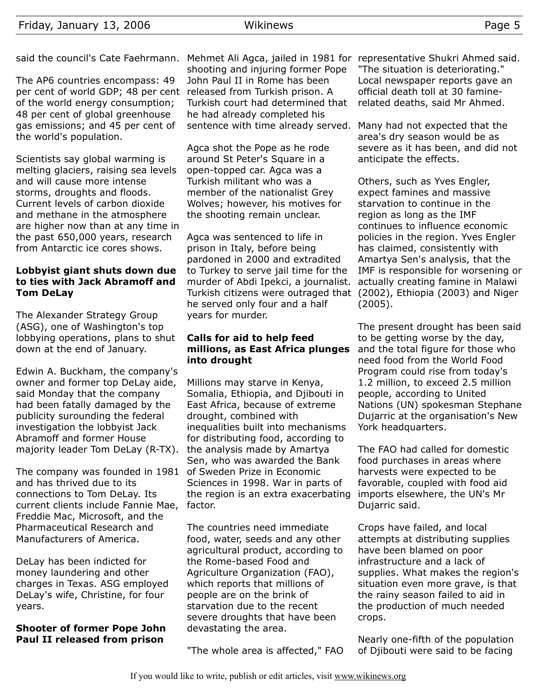said the council's Cate Faehrmann. Mehmet Ali Agca, jailed in 1981 for representative Shukri Ahmed said.

The AP6 countries encompass: 49 per cent of world GDP; 48 per cent released from Turkish prison. A of the world energy consumption; 48 per cent of global greenhouse gas emissions; and 45 per cent of the world's population.

Scientists say global warming is melting glaciers, raising sea levels and will cause more intense storms, droughts and floods. Current levels of carbon dioxide and methane in the atmosphere are higher now than at any time in the past 650,000 years, research from Antarctic ice cores shows.

#### **Lobbyist giant shuts down due to ties with Jack Abramoff and Tom DeLay**

The Alexander Strategy Group (ASG), one of Washington's top lobbying operations, plans to shut down at the end of January.

Edwin A. Buckham, the company's owner and former top DeLay aide, said Monday that the company had been fatally damaged by the publicity surounding the federal investigation the lobbyist Jack Abramoff and former House majority leader Tom DeLay (R-TX). the analysis made by Amartya

The company was founded in 1981 of Sweden Prize in Economic and has thrived due to its connections to Tom DeLay. Its current clients include Fannie Mae, Freddie Mac, Microsoft, and the Pharmaceutical Research and Manufacturers of America.

DeLay has been indicted for money laundering and other charges in Texas. ASG employed DeLay's wife, Christine, for four years.

## **Shooter of former Pope John Paul II released from prison**

shooting and injuring former Pope John Paul II in Rome has been Turkish court had determined that he had already completed his sentence with time already served. Many had not expected that the

Agca shot the Pope as he rode around St Peter's Square in a open-topped car. Agca was a Turkish militant who was a member of the nationalist Grey Wolves; however, his motives for the shooting remain unclear.

Agca was sentenced to life in prison in Italy, before being pardoned in 2000 and extradited to Turkey to serve jail time for the murder of Abdi Ipekci, a journalist. Turkish citizens were outraged that (2002), Ethiopia (2003) and Niger he served only four and a half years for murder.

#### **Calls for aid to help feed millions, as East Africa plunges into drought**

Millions may starve in Kenya, Somalia, Ethiopia, and Djibouti in East Africa, because of extreme drought, combined with inequalities built into mechanisms for distributing food, according to Sen, who was awarded the Bank Sciences in 1998. War in parts of the region is an extra exacerbating factor.

The countries need immediate food, water, seeds and any other agricultural product, according to the Rome-based Food and Agriculture Organization (FAO), which reports that millions of people are on the brink of starvation due to the recent severe droughts that have been devastating the area.

"The whole area is affected," FAO

"The situation is deteriorating." Local newspaper reports gave an official death toll at 30 faminerelated deaths, said Mr Ahmed.

area's dry season would be as severe as it has been, and did not anticipate the effects.

Others, such as Yves Engler, expect famines and massive starvation to continue in the region as long as the IMF continues to influence economic policies in the region. Yves Engler has claimed, consistently with Amartya Sen's analysis, that the IMF is responsible for worsening or actually creating famine in Malawi (2005).

The present drought has been said to be getting worse by the day, and the total figure for those who need food from the World Food Program could rise from today's 1.2 million, to exceed 2.5 million people, according to United Nations (UN) spokesman Stephane Dujarric at the organisation's New York headquarters.

The FAO had called for domestic food purchases in areas where harvests were expected to be favorable, coupled with food aid imports elsewhere, the UN's Mr Dujarric said.

Crops have failed, and local attempts at distributing supplies have been blamed on poor infrastructure and a lack of supplies. What makes the region's situation even more grave, is that the rainy season failed to aid in the production of much needed crops.

Nearly one-fifth of the population of Djibouti were said to be facing